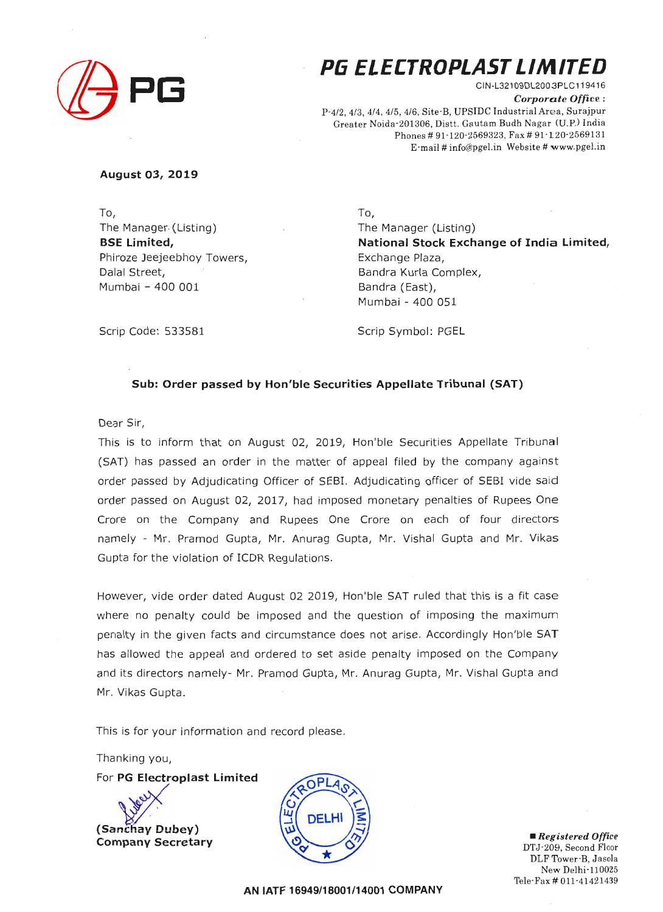

# **P6 ELECTROPLAST LIMITED**

CIN-L321 09DL2003PLC 119416 *Corporate Office :*  P-4/2, 4/3, 4/4, 4/5, 4/6, Site-B, UPSIDC Industrial Area, Surajpur Greater Noida-201306, Distt. Gautam Budh Nagar (U.P.) India Phones # 91-120-2569323, Fax # 91-120-2569131 E-mail # info@pgel.in Website # www.pgel.in

#### **August 03, 2019**

To, The Manager (Listing) **BSE Limited,**  Phiroze Jeejeebhoy Towers, Dalal Street, Mumbai - 400 001

To, The Manager (Listing) **National Stock Exchange of India Limited,**  Exchange Plaza, Sandra Kurla Complex, Bandra (East), Mumbai - 400 051

Scrip Code: 533581

Scrip Symbol: PGEL

#### **Sub: Order passed by Hon'ble Securities Appellate Tribunal (SAT)**

Dear Sir,

This is to inform that on August 02, 2019, Hon'ble Securities Appellate Tribunal (SAT) has passed an order in the matter of appeal filed by the company against order passed by Adjudicating Officer of SEBI. Adjudicating officer of SEBI vide said order passed on August 02, 2017, had imposed monetary penalties of Rupees One Crore on the Company and Rupees One Crore on each of four directors namely - Mr. Pramod Gupta, Mr. Anurag Gupta, Mr. Vishal Gupta and Mr. Vikas Gupta for the violation of ICDR Regulations.

However, vide order dated August 02 2019, Hon'ble SAT ruled that this is a fit case where no penalty could be imposed and the question of imposing the maximum penalty in the given facts and circumstance does not arise. Accordingly Hon'ble SAT has allowed the appeal and ordered to set aside penalty imposed on the Company and its directors namely- Mr. Pramod Gupta , Mr. Anurag Gupta, Mr. Vishal Gupta and Mr. Vikas Gupta.

This is for your information and record please.

Thanking you,

For PG Electroplast Limited

**(Sanchay Dubey) Company Secretary** 



• *Registered Office*  DTJ-209, Second Floor DLF Tower-B, Jasola New Delhi-110025 Tele-Fax# 011 -41421439

**AN IATF 16949/18001/14001 COMPANY**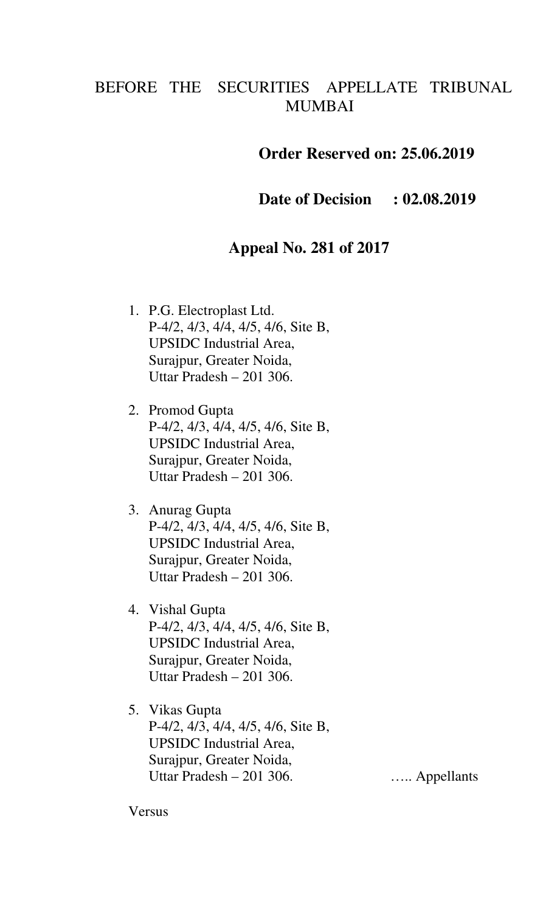## BEFORE THE SECURITIES APPELLATE TRIBUNAL MUMBAI

### **Order Reserved on: 25.06.2019**

**Date of Decision : 02.08.2019** 

### **Appeal No. 281 of 2017**

- 1. P.G. Electroplast Ltd. P-4/2, 4/3, 4/4, 4/5, 4/6, Site B, UPSIDC Industrial Area, Surajpur, Greater Noida, Uttar Pradesh – 201 306.
- 2. Promod Gupta P-4/2, 4/3, 4/4, 4/5, 4/6, Site B, UPSIDC Industrial Area, Surajpur, Greater Noida, Uttar Pradesh – 201 306.
- 3. Anurag Gupta P-4/2, 4/3, 4/4, 4/5, 4/6, Site B, UPSIDC Industrial Area, Surajpur, Greater Noida, Uttar Pradesh – 201 306.
- 4. Vishal Gupta P-4/2, 4/3, 4/4, 4/5, 4/6, Site B, UPSIDC Industrial Area, Surajpur, Greater Noida, Uttar Pradesh – 201 306.
- 5. Vikas Gupta P-4/2, 4/3, 4/4, 4/5, 4/6, Site B, UPSIDC Industrial Area, Surajpur, Greater Noida, Uttar Pradesh – 201 306. ….. Appellants

Versus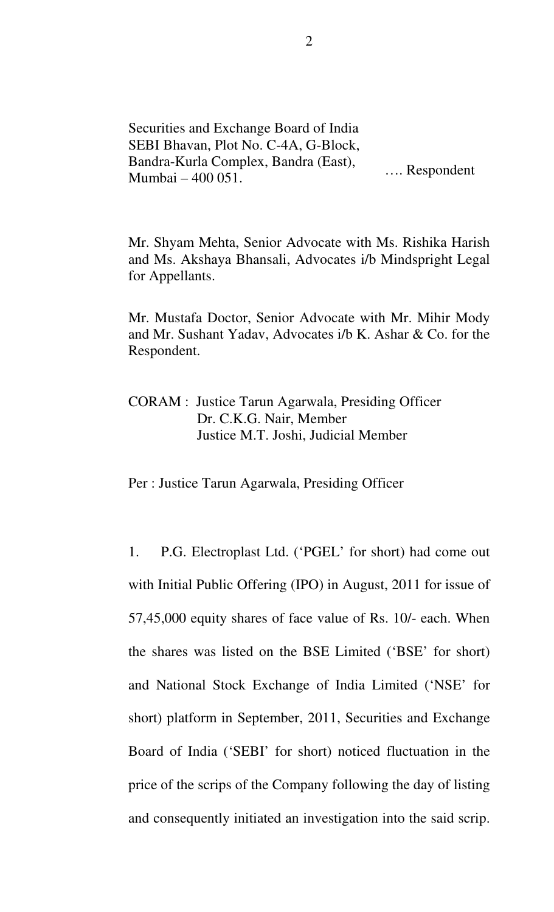Securities and Exchange Board of India SEBI Bhavan, Plot No. C-4A, G-Block, Bandra-Kurla Complex, Bandra (East), Mumbai – 400 051. …. Respondent

Mr. Shyam Mehta, Senior Advocate with Ms. Rishika Harish and Ms. Akshaya Bhansali, Advocates i/b Mindspright Legal for Appellants.

Mr. Mustafa Doctor, Senior Advocate with Mr. Mihir Mody and Mr. Sushant Yadav, Advocates i/b K. Ashar & Co. for the Respondent.

CORAM : Justice Tarun Agarwala, Presiding Officer Dr. C.K.G. Nair, Member Justice M.T. Joshi, Judicial Member

#### Per : Justice Tarun Agarwala, Presiding Officer

1. P.G. Electroplast Ltd. ('PGEL' for short) had come out with Initial Public Offering (IPO) in August, 2011 for issue of 57,45,000 equity shares of face value of Rs. 10/- each. When the shares was listed on the BSE Limited ('BSE' for short) and National Stock Exchange of India Limited ('NSE' for short) platform in September, 2011, Securities and Exchange Board of India ('SEBI' for short) noticed fluctuation in the price of the scrips of the Company following the day of listing and consequently initiated an investigation into the said scrip.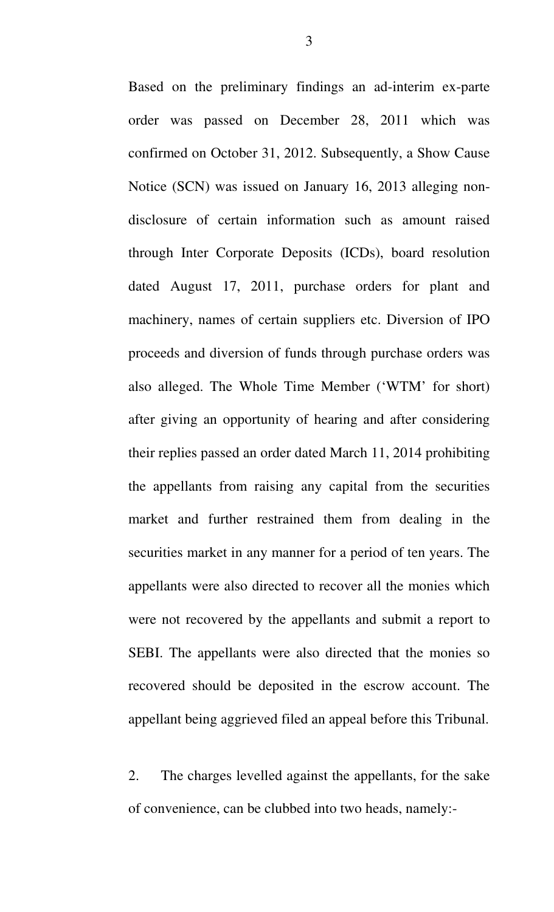Based on the preliminary findings an ad-interim ex-parte order was passed on December 28, 2011 which was confirmed on October 31, 2012. Subsequently, a Show Cause Notice (SCN) was issued on January 16, 2013 alleging nondisclosure of certain information such as amount raised through Inter Corporate Deposits (ICDs), board resolution dated August 17, 2011, purchase orders for plant and machinery, names of certain suppliers etc. Diversion of IPO proceeds and diversion of funds through purchase orders was also alleged. The Whole Time Member ('WTM' for short) after giving an opportunity of hearing and after considering their replies passed an order dated March 11, 2014 prohibiting the appellants from raising any capital from the securities market and further restrained them from dealing in the securities market in any manner for a period of ten years. The appellants were also directed to recover all the monies which were not recovered by the appellants and submit a report to SEBI. The appellants were also directed that the monies so recovered should be deposited in the escrow account. The appellant being aggrieved filed an appeal before this Tribunal.

2. The charges levelled against the appellants, for the sake of convenience, can be clubbed into two heads, namely:-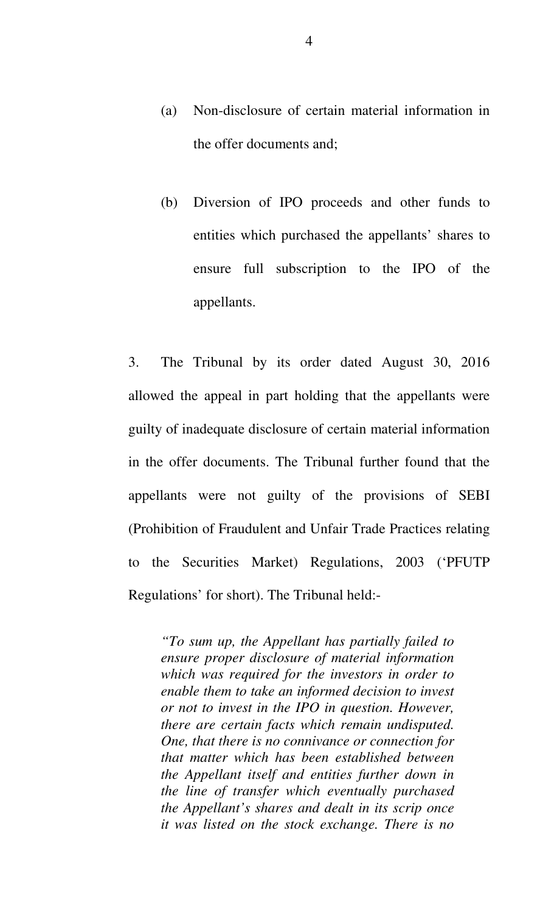- (a) Non-disclosure of certain material information in the offer documents and;
- (b) Diversion of IPO proceeds and other funds to entities which purchased the appellants' shares to ensure full subscription to the IPO of the appellants.

3. The Tribunal by its order dated August 30, 2016 allowed the appeal in part holding that the appellants were guilty of inadequate disclosure of certain material information in the offer documents. The Tribunal further found that the appellants were not guilty of the provisions of SEBI (Prohibition of Fraudulent and Unfair Trade Practices relating to the Securities Market) Regulations, 2003 ('PFUTP Regulations' for short). The Tribunal held:-

*"To sum up, the Appellant has partially failed to ensure proper disclosure of material information which was required for the investors in order to enable them to take an informed decision to invest or not to invest in the IPO in question. However, there are certain facts which remain undisputed. One, that there is no connivance or connection for that matter which has been established between the Appellant itself and entities further down in the line of transfer which eventually purchased the Appellant's shares and dealt in its scrip once it was listed on the stock exchange. There is no*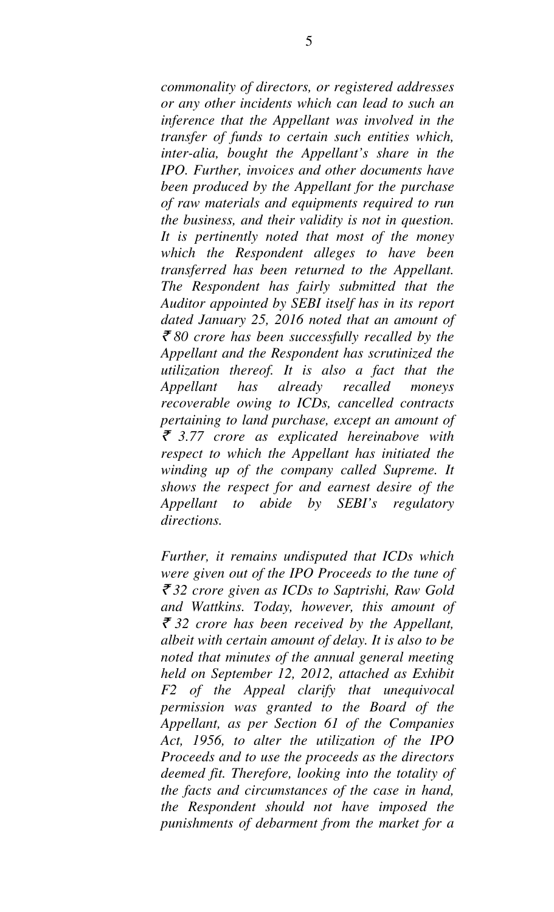*commonality of directors, or registered addresses or any other incidents which can lead to such an inference that the Appellant was involved in the transfer of funds to certain such entities which, inter-alia, bought the Appellant's share in the IPO. Further, invoices and other documents have been produced by the Appellant for the purchase of raw materials and equipments required to run the business, and their validity is not in question. It is pertinently noted that most of the money which the Respondent alleges to have been transferred has been returned to the Appellant. The Respondent has fairly submitted that the Auditor appointed by SEBI itself has in its report dated January 25, 2016 noted that an amount of*  ` *80 crore has been successfully recalled by the Appellant and the Respondent has scrutinized the utilization thereof. It is also a fact that the Appellant has already recalled moneys recoverable owing to ICDs, cancelled contracts pertaining to land purchase, except an amount of*  ` *3.77 crore as explicated hereinabove with respect to which the Appellant has initiated the winding up of the company called Supreme. It shows the respect for and earnest desire of the Appellant to abide by SEBI's regulatory directions.* 

*Further, it remains undisputed that ICDs which were given out of the IPO Proceeds to the tune of*  ` *32 crore given as ICDs to Saptrishi, Raw Gold and Wattkins. Today, however, this amount of*  ` *32 crore has been received by the Appellant, albeit with certain amount of delay. It is also to be noted that minutes of the annual general meeting held on September 12, 2012, attached as Exhibit F2 of the Appeal clarify that unequivocal permission was granted to the Board of the Appellant, as per Section 61 of the Companies Act, 1956, to alter the utilization of the IPO Proceeds and to use the proceeds as the directors deemed fit. Therefore, looking into the totality of the facts and circumstances of the case in hand, the Respondent should not have imposed the punishments of debarment from the market for a*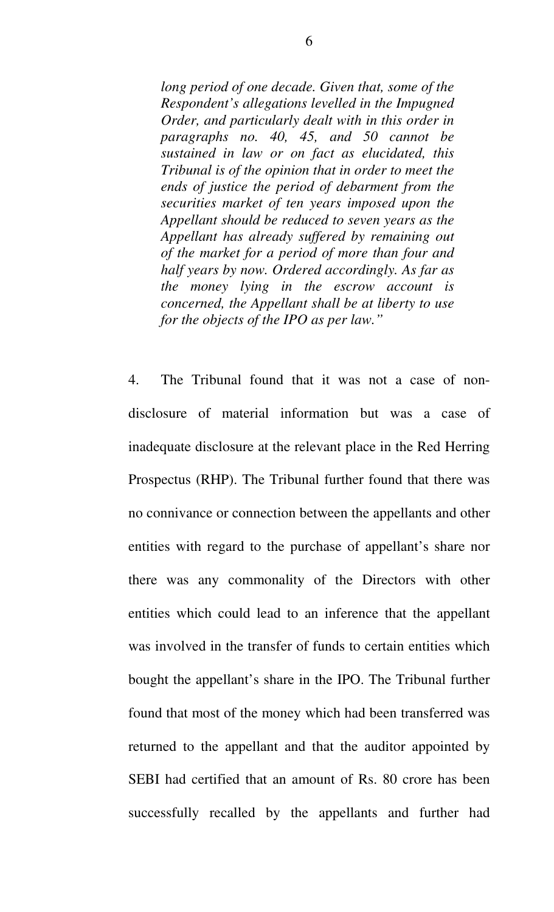*long period of one decade. Given that, some of the Respondent's allegations levelled in the Impugned Order, and particularly dealt with in this order in paragraphs no. 40, 45, and 50 cannot be sustained in law or on fact as elucidated, this Tribunal is of the opinion that in order to meet the ends of justice the period of debarment from the securities market of ten years imposed upon the Appellant should be reduced to seven years as the Appellant has already suffered by remaining out of the market for a period of more than four and half years by now. Ordered accordingly. As far as the money lying in the escrow account is concerned, the Appellant shall be at liberty to use for the objects of the IPO as per law."* 

4. The Tribunal found that it was not a case of nondisclosure of material information but was a case of inadequate disclosure at the relevant place in the Red Herring Prospectus (RHP). The Tribunal further found that there was no connivance or connection between the appellants and other entities with regard to the purchase of appellant's share nor there was any commonality of the Directors with other entities which could lead to an inference that the appellant was involved in the transfer of funds to certain entities which bought the appellant's share in the IPO. The Tribunal further found that most of the money which had been transferred was returned to the appellant and that the auditor appointed by SEBI had certified that an amount of Rs. 80 crore has been successfully recalled by the appellants and further had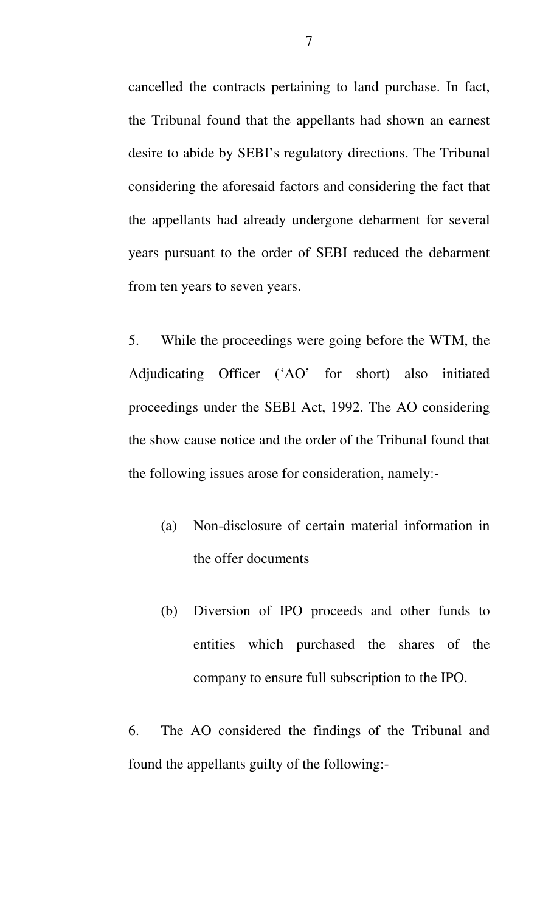cancelled the contracts pertaining to land purchase. In fact, the Tribunal found that the appellants had shown an earnest desire to abide by SEBI's regulatory directions. The Tribunal considering the aforesaid factors and considering the fact that the appellants had already undergone debarment for several years pursuant to the order of SEBI reduced the debarment from ten years to seven years.

5. While the proceedings were going before the WTM, the Adjudicating Officer ('AO' for short) also initiated proceedings under the SEBI Act, 1992. The AO considering the show cause notice and the order of the Tribunal found that the following issues arose for consideration, namely:-

- (a) Non-disclosure of certain material information in the offer documents
- (b) Diversion of IPO proceeds and other funds to entities which purchased the shares of the company to ensure full subscription to the IPO.

6. The AO considered the findings of the Tribunal and found the appellants guilty of the following:-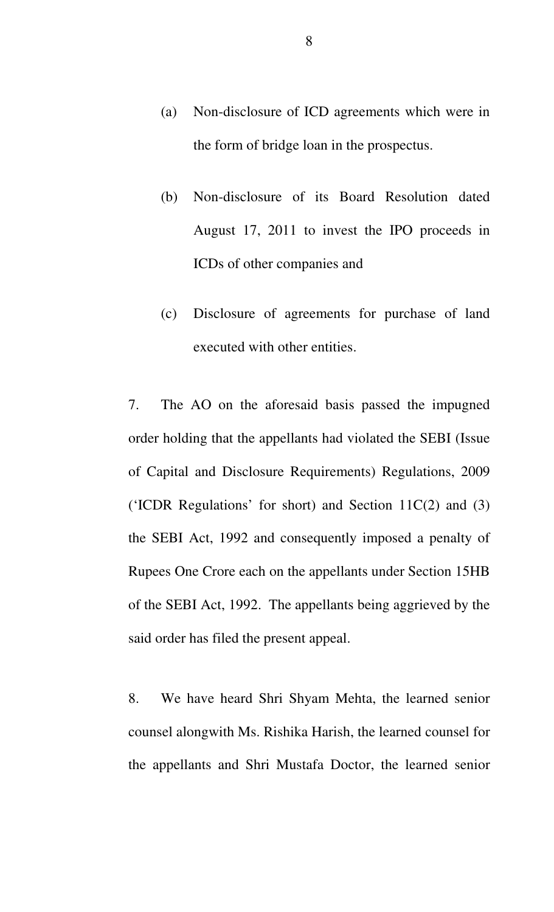- (a) Non-disclosure of ICD agreements which were in the form of bridge loan in the prospectus.
- (b) Non-disclosure of its Board Resolution dated August 17, 2011 to invest the IPO proceeds in ICDs of other companies and
- (c) Disclosure of agreements for purchase of land executed with other entities.

7. The AO on the aforesaid basis passed the impugned order holding that the appellants had violated the SEBI (Issue of Capital and Disclosure Requirements) Regulations, 2009 ('ICDR Regulations' for short) and Section 11C(2) and (3) the SEBI Act, 1992 and consequently imposed a penalty of Rupees One Crore each on the appellants under Section 15HB of the SEBI Act, 1992. The appellants being aggrieved by the said order has filed the present appeal.

8. We have heard Shri Shyam Mehta, the learned senior counsel alongwith Ms. Rishika Harish, the learned counsel for the appellants and Shri Mustafa Doctor, the learned senior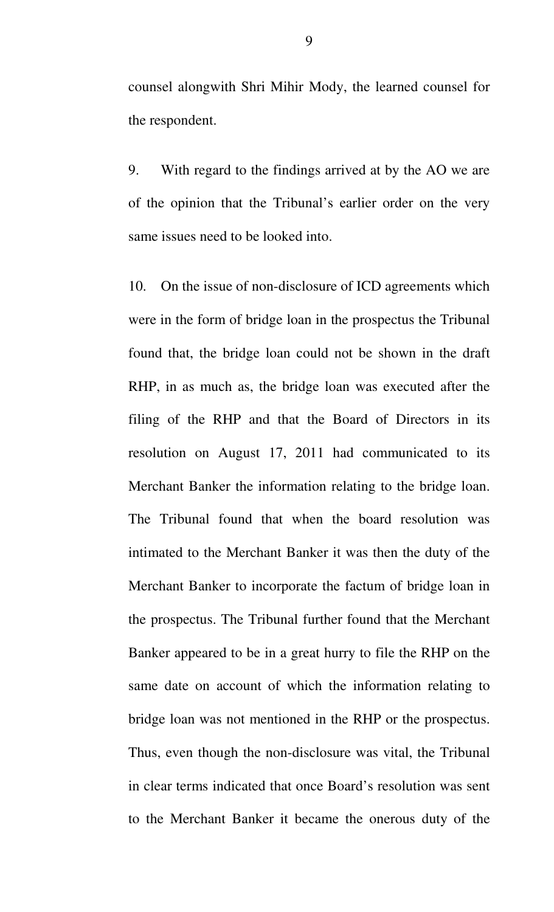counsel alongwith Shri Mihir Mody, the learned counsel for the respondent.

9. With regard to the findings arrived at by the AO we are of the opinion that the Tribunal's earlier order on the very same issues need to be looked into.

10. On the issue of non-disclosure of ICD agreements which were in the form of bridge loan in the prospectus the Tribunal found that, the bridge loan could not be shown in the draft RHP, in as much as, the bridge loan was executed after the filing of the RHP and that the Board of Directors in its resolution on August 17, 2011 had communicated to its Merchant Banker the information relating to the bridge loan. The Tribunal found that when the board resolution was intimated to the Merchant Banker it was then the duty of the Merchant Banker to incorporate the factum of bridge loan in the prospectus. The Tribunal further found that the Merchant Banker appeared to be in a great hurry to file the RHP on the same date on account of which the information relating to bridge loan was not mentioned in the RHP or the prospectus. Thus, even though the non-disclosure was vital, the Tribunal in clear terms indicated that once Board's resolution was sent to the Merchant Banker it became the onerous duty of the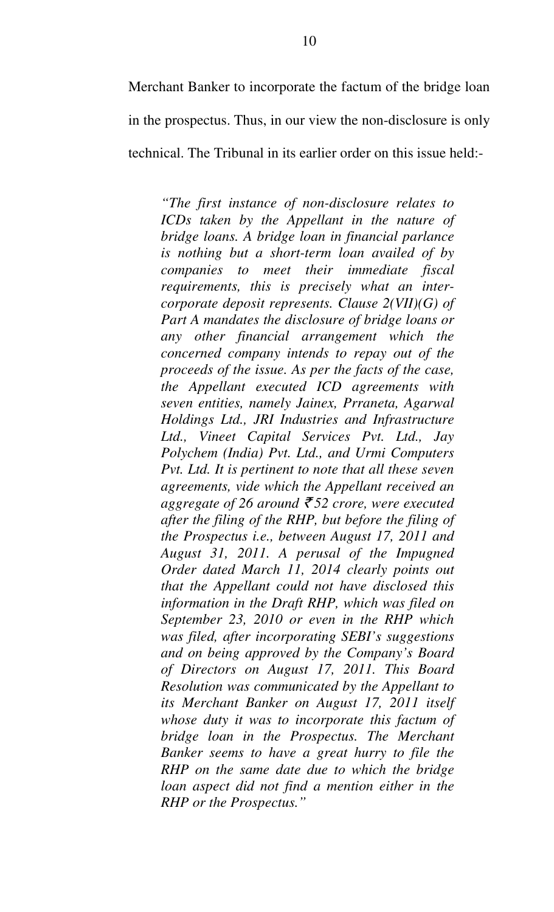Merchant Banker to incorporate the factum of the bridge loan in the prospectus. Thus, in our view the non-disclosure is only technical. The Tribunal in its earlier order on this issue held:-

*"The first instance of non-disclosure relates to ICDs taken by the Appellant in the nature of bridge loans. A bridge loan in financial parlance is nothing but a short-term loan availed of by companies to meet their immediate fiscal requirements, this is precisely what an intercorporate deposit represents. Clause 2(VII)(G) of Part A mandates the disclosure of bridge loans or any other financial arrangement which the concerned company intends to repay out of the proceeds of the issue. As per the facts of the case, the Appellant executed ICD agreements with seven entities, namely Jainex, Prraneta, Agarwal Holdings Ltd., JRI Industries and Infrastructure Ltd., Vineet Capital Services Pvt. Ltd., Jay Polychem (India) Pvt. Ltd., and Urmi Computers Pvt. Ltd. It is pertinent to note that all these seven agreements, vide which the Appellant received an aggregate of 26 around*  $\bar{\tau}$  52 crore, were executed *after the filing of the RHP, but before the filing of the Prospectus i.e., between August 17, 2011 and August 31, 2011. A perusal of the Impugned Order dated March 11, 2014 clearly points out that the Appellant could not have disclosed this information in the Draft RHP, which was filed on September 23, 2010 or even in the RHP which was filed, after incorporating SEBI's suggestions and on being approved by the Company's Board of Directors on August 17, 2011. This Board Resolution was communicated by the Appellant to its Merchant Banker on August 17, 2011 itself whose duty it was to incorporate this factum of bridge loan in the Prospectus. The Merchant Banker seems to have a great hurry to file the RHP on the same date due to which the bridge loan aspect did not find a mention either in the RHP or the Prospectus."*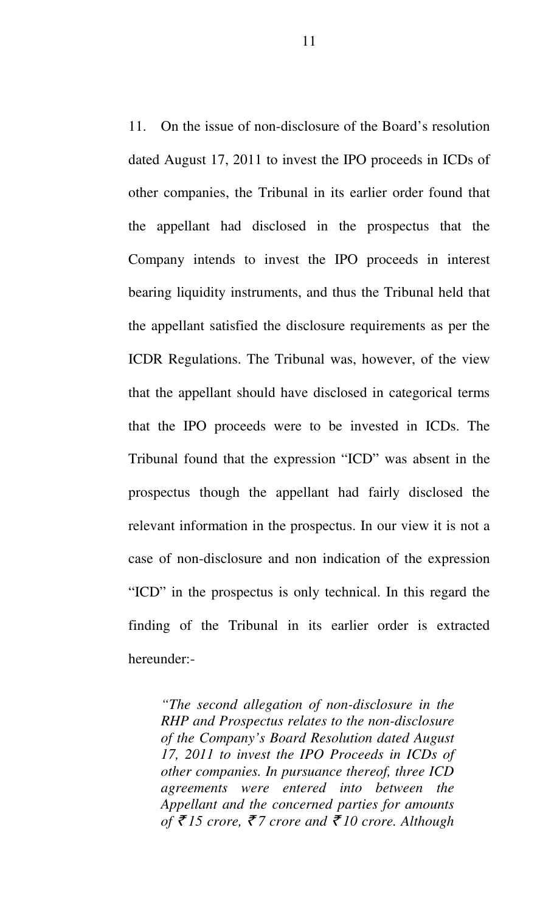11. On the issue of non-disclosure of the Board's resolution dated August 17, 2011 to invest the IPO proceeds in ICDs of other companies, the Tribunal in its earlier order found that the appellant had disclosed in the prospectus that the Company intends to invest the IPO proceeds in interest bearing liquidity instruments, and thus the Tribunal held that the appellant satisfied the disclosure requirements as per the ICDR Regulations. The Tribunal was, however, of the view that the appellant should have disclosed in categorical terms that the IPO proceeds were to be invested in ICDs. The Tribunal found that the expression "ICD" was absent in the prospectus though the appellant had fairly disclosed the relevant information in the prospectus. In our view it is not a case of non-disclosure and non indication of the expression "ICD" in the prospectus is only technical. In this regard the finding of the Tribunal in its earlier order is extracted hereunder:-

*"The second allegation of non-disclosure in the RHP and Prospectus relates to the non-disclosure of the Company's Board Resolution dated August 17, 2011 to invest the IPO Proceeds in ICDs of other companies. In pursuance thereof, three ICD agreements were entered into between the Appellant and the concerned parties for amounts of* ` *15 crore,* ` *7 crore and* ` *10 crore. Although*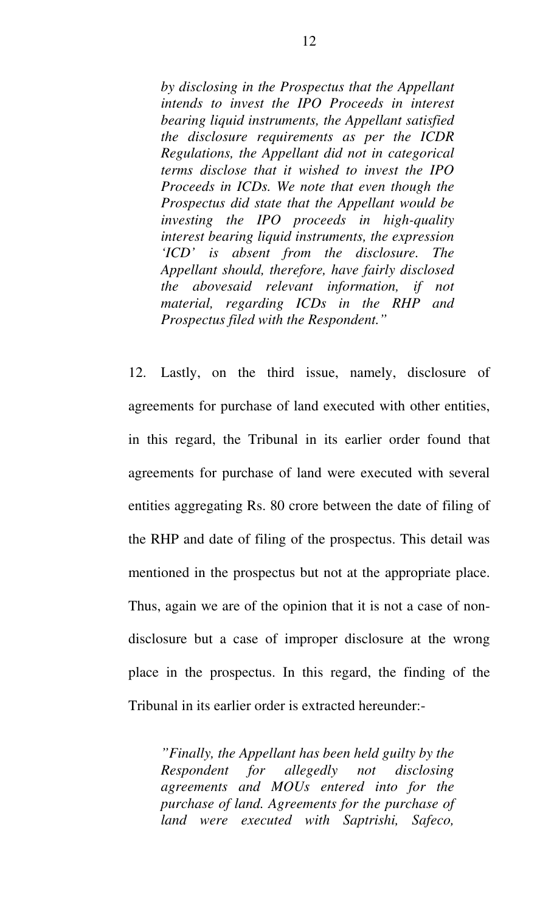*by disclosing in the Prospectus that the Appellant intends to invest the IPO Proceeds in interest bearing liquid instruments, the Appellant satisfied the disclosure requirements as per the ICDR Regulations, the Appellant did not in categorical terms disclose that it wished to invest the IPO Proceeds in ICDs. We note that even though the Prospectus did state that the Appellant would be investing the IPO proceeds in high-quality interest bearing liquid instruments, the expression 'ICD' is absent from the disclosure. The Appellant should, therefore, have fairly disclosed the abovesaid relevant information, if not material, regarding ICDs in the RHP and Prospectus filed with the Respondent."* 

12. Lastly, on the third issue, namely, disclosure of agreements for purchase of land executed with other entities, in this regard, the Tribunal in its earlier order found that agreements for purchase of land were executed with several entities aggregating Rs. 80 crore between the date of filing of the RHP and date of filing of the prospectus. This detail was mentioned in the prospectus but not at the appropriate place. Thus, again we are of the opinion that it is not a case of nondisclosure but a case of improper disclosure at the wrong place in the prospectus. In this regard, the finding of the Tribunal in its earlier order is extracted hereunder:-

*"Finally, the Appellant has been held guilty by the Respondent for allegedly not disclosing agreements and MOUs entered into for the purchase of land. Agreements for the purchase of land were executed with Saptrishi, Safeco,*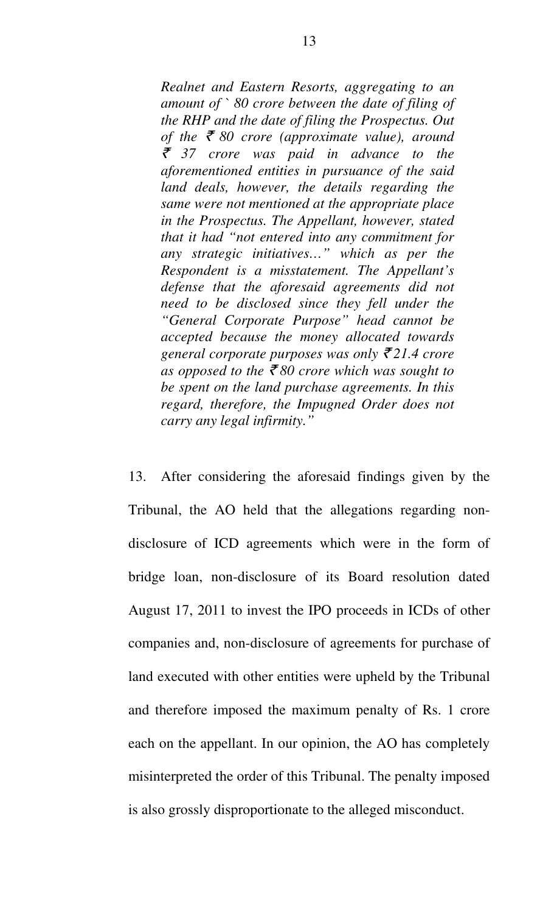*Realnet and Eastern Resorts, aggregating to an amount of ` 80 crore between the date of filing of the RHP and the date of filing the Prospectus. Out of the*  $\bar{\xi}$  80 crore (approximate value), around ` *37 crore was paid in advance to the aforementioned entities in pursuance of the said land deals, however, the details regarding the same were not mentioned at the appropriate place in the Prospectus. The Appellant, however, stated that it had "not entered into any commitment for any strategic initiatives…" which as per the Respondent is a misstatement. The Appellant's defense that the aforesaid agreements did not need to be disclosed since they fell under the "General Corporate Purpose" head cannot be accepted because the money allocated towards general corporate purposes was only* ` *21.4 crore*  as opposed to the  $\bar{z}$  80 crore which was sought to *be spent on the land purchase agreements. In this regard, therefore, the Impugned Order does not carry any legal infirmity."* 

13. After considering the aforesaid findings given by the Tribunal, the AO held that the allegations regarding nondisclosure of ICD agreements which were in the form of bridge loan, non-disclosure of its Board resolution dated August 17, 2011 to invest the IPO proceeds in ICDs of other companies and, non-disclosure of agreements for purchase of land executed with other entities were upheld by the Tribunal and therefore imposed the maximum penalty of Rs. 1 crore each on the appellant. In our opinion, the AO has completely misinterpreted the order of this Tribunal. The penalty imposed is also grossly disproportionate to the alleged misconduct.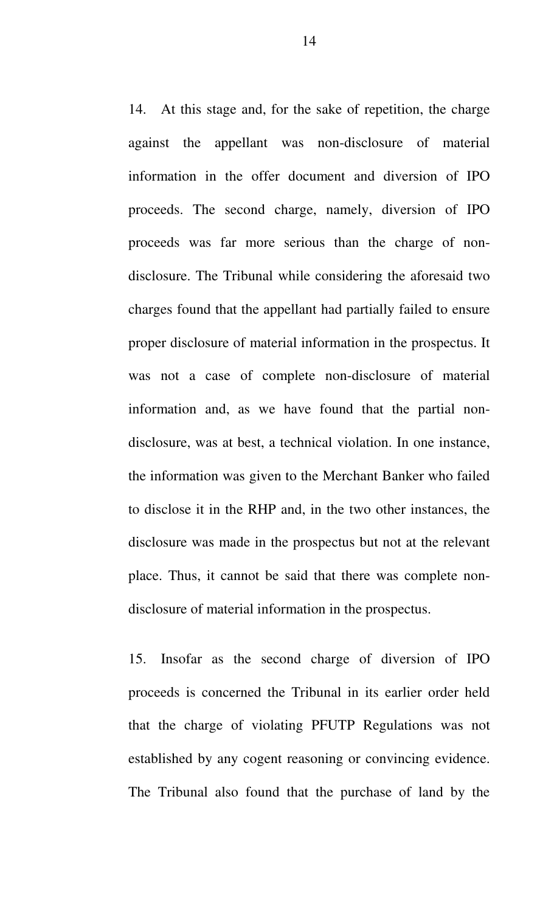14. At this stage and, for the sake of repetition, the charge against the appellant was non-disclosure of material information in the offer document and diversion of IPO proceeds. The second charge, namely, diversion of IPO proceeds was far more serious than the charge of nondisclosure. The Tribunal while considering the aforesaid two charges found that the appellant had partially failed to ensure proper disclosure of material information in the prospectus. It was not a case of complete non-disclosure of material information and, as we have found that the partial nondisclosure, was at best, a technical violation. In one instance, the information was given to the Merchant Banker who failed to disclose it in the RHP and, in the two other instances, the disclosure was made in the prospectus but not at the relevant place. Thus, it cannot be said that there was complete nondisclosure of material information in the prospectus.

15. Insofar as the second charge of diversion of IPO proceeds is concerned the Tribunal in its earlier order held that the charge of violating PFUTP Regulations was not established by any cogent reasoning or convincing evidence. The Tribunal also found that the purchase of land by the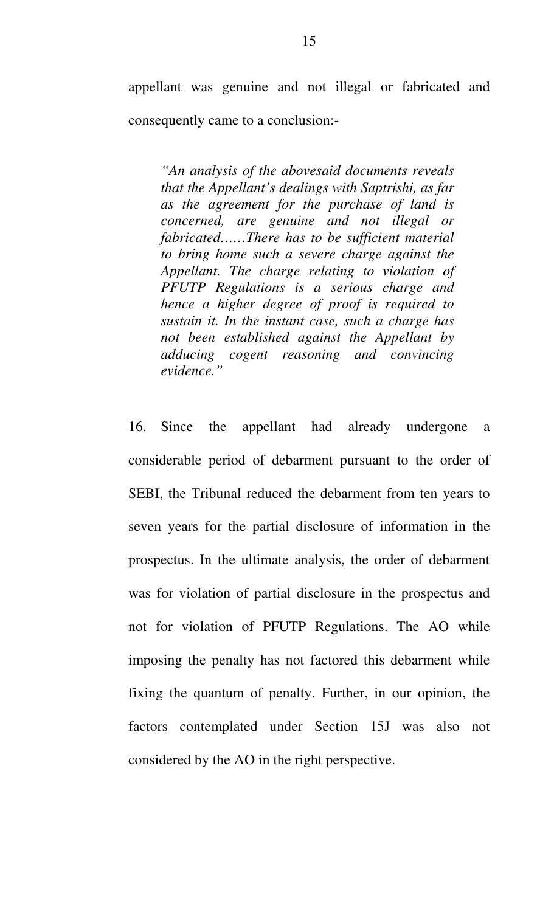appellant was genuine and not illegal or fabricated and consequently came to a conclusion:-

*"An analysis of the abovesaid documents reveals that the Appellant's dealings with Saptrishi, as far as the agreement for the purchase of land is concerned, are genuine and not illegal or fabricated……There has to be sufficient material to bring home such a severe charge against the Appellant. The charge relating to violation of PFUTP Regulations is a serious charge and hence a higher degree of proof is required to sustain it. In the instant case, such a charge has not been established against the Appellant by adducing cogent reasoning and convincing evidence."* 

16. Since the appellant had already undergone a considerable period of debarment pursuant to the order of SEBI, the Tribunal reduced the debarment from ten years to seven years for the partial disclosure of information in the prospectus. In the ultimate analysis, the order of debarment was for violation of partial disclosure in the prospectus and not for violation of PFUTP Regulations. The AO while imposing the penalty has not factored this debarment while fixing the quantum of penalty. Further, in our opinion, the factors contemplated under Section 15J was also not considered by the AO in the right perspective.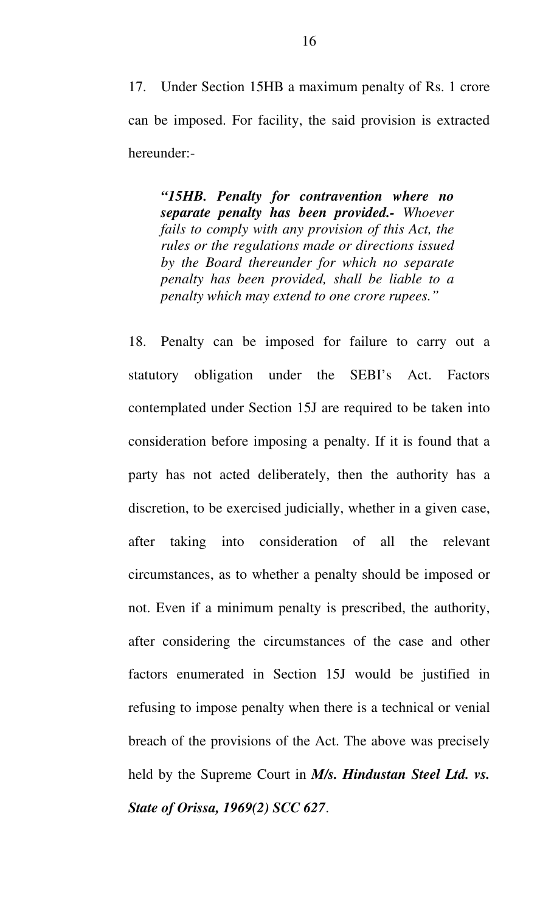17. Under Section 15HB a maximum penalty of Rs. 1 crore can be imposed. For facility, the said provision is extracted hereunder:-

*"15HB. Penalty for contravention where no separate penalty has been provided.- Whoever fails to comply with any provision of this Act, the rules or the regulations made or directions issued by the Board thereunder for which no separate penalty has been provided, shall be liable to a penalty which may extend to one crore rupees."* 

18. Penalty can be imposed for failure to carry out a statutory obligation under the SEBI's Act. Factors contemplated under Section 15J are required to be taken into consideration before imposing a penalty. If it is found that a party has not acted deliberately, then the authority has a discretion, to be exercised judicially, whether in a given case, after taking into consideration of all the relevant circumstances, as to whether a penalty should be imposed or not. Even if a minimum penalty is prescribed, the authority, after considering the circumstances of the case and other factors enumerated in Section 15J would be justified in refusing to impose penalty when there is a technical or venial breach of the provisions of the Act. The above was precisely held by the Supreme Court in *M/s. Hindustan Steel Ltd. vs. State of Orissa, 1969(2) SCC 627*.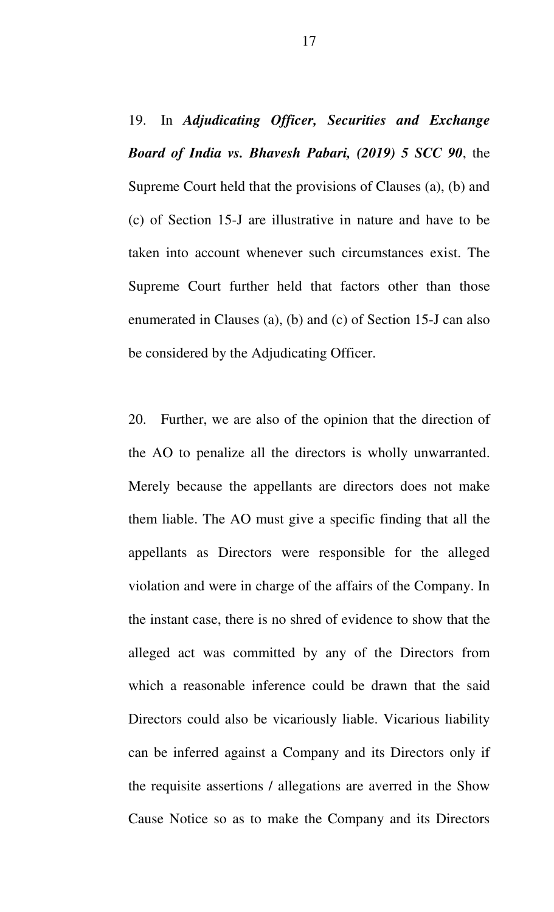19. In *Adjudicating Officer, Securities and Exchange Board of India vs. Bhavesh Pabari, (2019) 5 SCC 90*, the Supreme Court held that the provisions of Clauses (a), (b) and (c) of Section 15-J are illustrative in nature and have to be taken into account whenever such circumstances exist. The Supreme Court further held that factors other than those enumerated in Clauses (a), (b) and (c) of Section 15-J can also be considered by the Adjudicating Officer.

20. Further, we are also of the opinion that the direction of the AO to penalize all the directors is wholly unwarranted. Merely because the appellants are directors does not make them liable. The AO must give a specific finding that all the appellants as Directors were responsible for the alleged violation and were in charge of the affairs of the Company. In the instant case, there is no shred of evidence to show that the alleged act was committed by any of the Directors from which a reasonable inference could be drawn that the said Directors could also be vicariously liable. Vicarious liability can be inferred against a Company and its Directors only if the requisite assertions / allegations are averred in the Show Cause Notice so as to make the Company and its Directors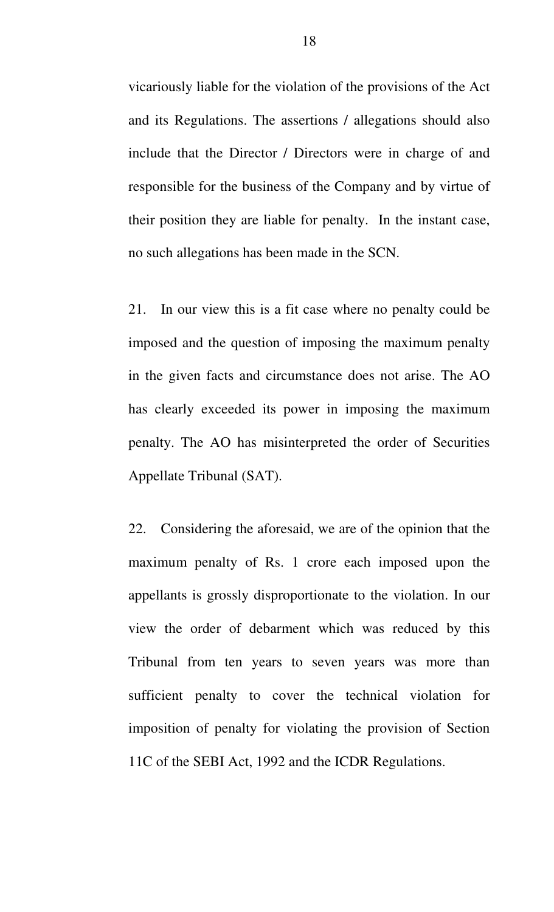vicariously liable for the violation of the provisions of the Act and its Regulations. The assertions / allegations should also include that the Director / Directors were in charge of and responsible for the business of the Company and by virtue of their position they are liable for penalty. In the instant case, no such allegations has been made in the SCN.

21. In our view this is a fit case where no penalty could be imposed and the question of imposing the maximum penalty in the given facts and circumstance does not arise. The AO has clearly exceeded its power in imposing the maximum penalty. The AO has misinterpreted the order of Securities Appellate Tribunal (SAT).

22. Considering the aforesaid, we are of the opinion that the maximum penalty of Rs. 1 crore each imposed upon the appellants is grossly disproportionate to the violation. In our view the order of debarment which was reduced by this Tribunal from ten years to seven years was more than sufficient penalty to cover the technical violation for imposition of penalty for violating the provision of Section 11C of the SEBI Act, 1992 and the ICDR Regulations.